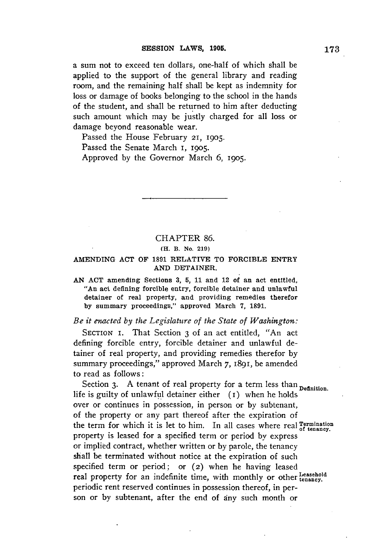a sum not to exceed ten dollars, one-half of which shall be applied to the support of the general library and reading room, and the remaining half shall be kept as indemnity for loss or damage of books belonging to the school in the hands of the student, and shall be returned to him after deducting such amount which may be justly charged for all loss or damage beyond reasonable wear.

Passed the House February **21, 1905.**

Passed the Senate March **I, 1905.**

Approved **by** the Governor March **6, 1905.**

# CHAPTER **86.**

#### **(H. B. No. 219)**

### AMENDING **ACT OF 1891** RELATIVE TO FORCIBLE ENTRY **AND DETAINER.**

**AN ACT** amending Sections **3, 5, 11** and 12 of an act entitled, "An act defining forcible entry, forcible detainer and unlawful detainer of real property, and providing remedies therefor **by** summary proceedings," approved March **7, 1891.**

*Be it enacted by the Legislature of the State of Washington:*

SECTION **I.** That Section **3** of an act entitled, "An act defining forcible entry, forcible detainer and unlawful detainer of real property, and providing remedies therefor **by** summary proceedings," approved March **7,** 1891, be amended to read as follows:

Section 3. A tenant of real property for a term less than **Definition**. life is guilty of unlawful detainer either **(I)** when he holds over or continues in possession, in person or **by** subtenant, of the property or any part thereof after the expiration of the term for which it is let to him. In all cases where real  $^{\text{Termination}}_{\text{of tenancy}}$ property is leased for a specified term or period by express or implied contract, whether written or **by** parole, the tenancy shall be terminated without notice at the expiration of such specified term or period; or **(2)** when he having leased real property for an indefinite time, with monthly or other Leasehold periodic rent reserved continues in possession thereof, in person or **by** subtenant, after the end of any such month or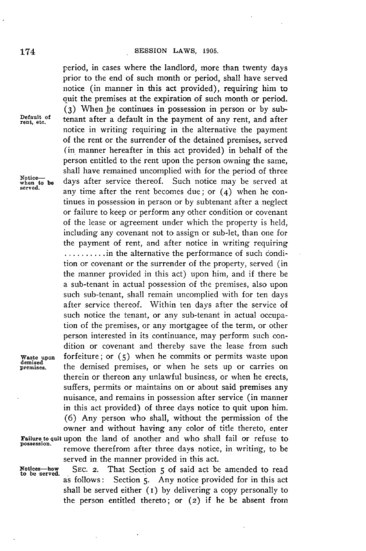period, in cases where the landlord, more than twenty days prior to the end of such month or period, shall have served notice (in manner in this act provided), requiring him to quit the premises at the expiration of such month or period. **(3)** When he continues in possession in person or **by** sub-Default of **tenant after a default in the payment of any rent, and after rent**, etc. notice in writing requiring in the alternative the payment of the rent or the surrender of the detained premises, served (in manner hereafter in this act provided) in behalf of the person entitled to the rent upon the person owning the same, shall have remained uncomplied with for the period of three Notice—<br>when to be days after service thereof. Such notice may be served at any time after the rent becomes due; or  $(4)$  when he continues in possession in person or **by** subtenant after a neglect or failure to keep or perform any other condition or covenant of the lease or agreement under which the property is held, including any covenant not to assign or sub-let, than one for the payment of rent, and after notice in writing requiring **..........** in the alternative the performance of such condition or covenant or the surrender of the property, served (in the manner provided in this act) upon him, and if there be a sub-tenant in actual possession of the premises, also upon such sub-tenant, shall remain uncomplied with for ten days after service thereof. Within ten days after the service of such notice the tenant, or any sub-tenant in actual occupation of the premises, or any mortgagee of the term, or other person interested in its continuance, may perform such condition or covenant and thereby save the lease from such **Waste upon** forfeiture; or **(5)** when he commits or permits waste upon **demised premises.** the demised premises, or when he sets up or carries on therein or thereon any unlawful business, or when he erects, suffers, permits or maintains on or about said premises any nuisance, and remains in possession after service (in manner in this act provided) of three days notice to quit upon him. **(6)** Any person who shall, without the permission of the owner and without having any color of title thereto, enter **Failure to quit** upon the land of another and who shall fail or refuse to **possession.** remove therefrom after three days notice, in writing, to be

served in the manner provided in this act.

Notices—how SEC. 2. That Section 5 of said act be amended to read to be served. as follows: Section 5. Any notice provided for in this act Section 5. Any notice provided for in this act shall be served either **(i) by** delivering a copy personally to the person entitled thereto; or **(2)** if he be absent from

Notice-<br>when to be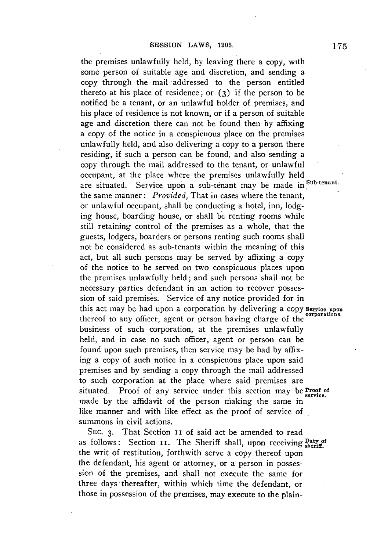the premises unlawfully held, **by** leaving there a copy, with some person of suitable age and discretion, and sending a copy through the mail addressed to the person entitled thereto at his place of residence; or **(3)** if the person to be notified be a tenant, or an unlawful holder of premises, and his place of residence is not known, or if a person of suitable age and discretion there can not be found then **by** affixing a copy of the notice in a conspicuous place on the premises unlawfully held, and also delivering a copy to a person there residing, if such a person can be found, and also sending a copy through the mail addressed to the tenant, or unlawful occupant, at the place where the premises unlawfully held are situated. Service upon a sub-tenant may be made in **Sub-tenant.** the same manner: *Provided,* That in cases where the tenant, or unlawful occupant, shall be conducting a hotel, inn, lodging house, boarding house, or shall be renting rooms while still retaining control of the premises as a whole, that the guests, lodgers, boarders or persons renting such rooms shall not be considered as sub-tenants within the meaning of this act, but all such persons may be served **by** affixing a copy of the notice to be served on two conspicuous places upon the premises unlawfully held; and such persons shall not be necessary parties defendant in an action to recover possession of said premises. Service of any notice provided for in this act may be had upon a corporation **by** delivering a **copy Service upon** thereof to any officer, agent or person having charge of the **corporations.** business of such corporation, at the premises unlawfully held, and in case no such officer, agent or person can be found upon such premises, then service may be had **by** affixing a copy of such notice in a conspicuous place upon said premises and **by** sending a copy through the mail addressed to such corporation at the place where said premises are situated. Proof of any service under this section may be Proot of made by the affidavit of the person making the same in like manner and with like effect as the proof of service of summons in civil actions.

**SEC. 3.** That Section **ii** of said act be amended to read as follows: Section II. The Sheriff shall, upon receiving **Duty of** the writ **of** restitution, forthwith serve a copy thereof upon the defendant, his agent or attorney, or a person in possession of the premises, and shall not execute the same for three days thereafter, within which time the defendant, or those in possession of the premises, may execute to the plain-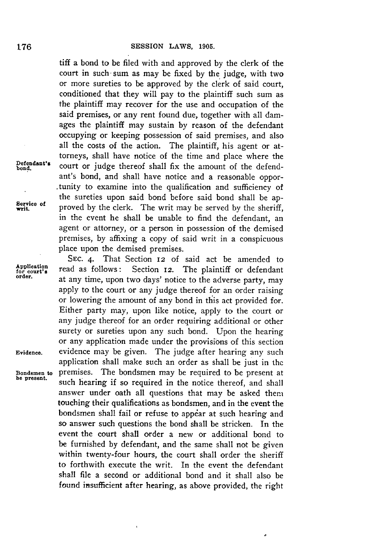tiff a bond to be filed with and approved **by** the clerk of the court in such-sum as may be fixed **by** the judge, with two or more sureties to be approved **by** the clerk of said court, conditioned that they will pay to the plaintiff such sum as the plaintiff may recover for the use and occupation of the said premises, or any rent found due, together with all damages the plaintiff may sustain **by** reason of the defendant occupying or keeping possession of said premises, and also all the costs of the action. The plaintiff, his agent or attorneys, shall have notice of the time and place where the Defendant's court or judge thereof shall fix the amount of the defendant's bond, and shall have notice and a reasonable opportunity to examine into the qualification and sufficiency of the sureties upon said bond before said bond shall be ap- **Example 3d by the clerk.** The writ may be served by the sheriff, in the event he shall be unable to find the defendant, an agent or attorney, or a person in possession of the demised premises, **by** affixing a copy of said writ in a conspicuous place upon the demised premises.

**SEC.** 4. That Section **12** of said act be amended to Application read as follows: Section **12**. The plaintiff or defendant for determine and the straintiff or defendant at any time, upon two days' notice to the adverse party, may apply to the court or any judge thereof for an order raising or lowering the amount of any bond in this act provided for. Either party may, upon like notice, apply to the court or any judge thereof for an order requiring additional or other surety or sureties upon any such bond. Upon the hearing or any application made under the provisions of this section **Evidence.** evidence may be given. The **judge** after hearing any such application shall make such an order as shall be just in the **Bondsmen to** premises. The bondsmen may be required to be present at such hearing if so required in the notice thereof, and shall answer under oath all questions that may be asked them touching their qualifications as bondsmen, and in the event the bondsmen shall fail or refuse to appear at such hearing and so answer such questions the bond shall **be** stricken. In the event the court shall order a new or additional bond to be furnished **by** defendant, and the same shall not be given within twenty-four hours, the court shall order the sheriff to forthwith execute the writ. In the event the defendant shall file a second or additional bond and it shall also be found insufficient after hearing, as above provided, the right